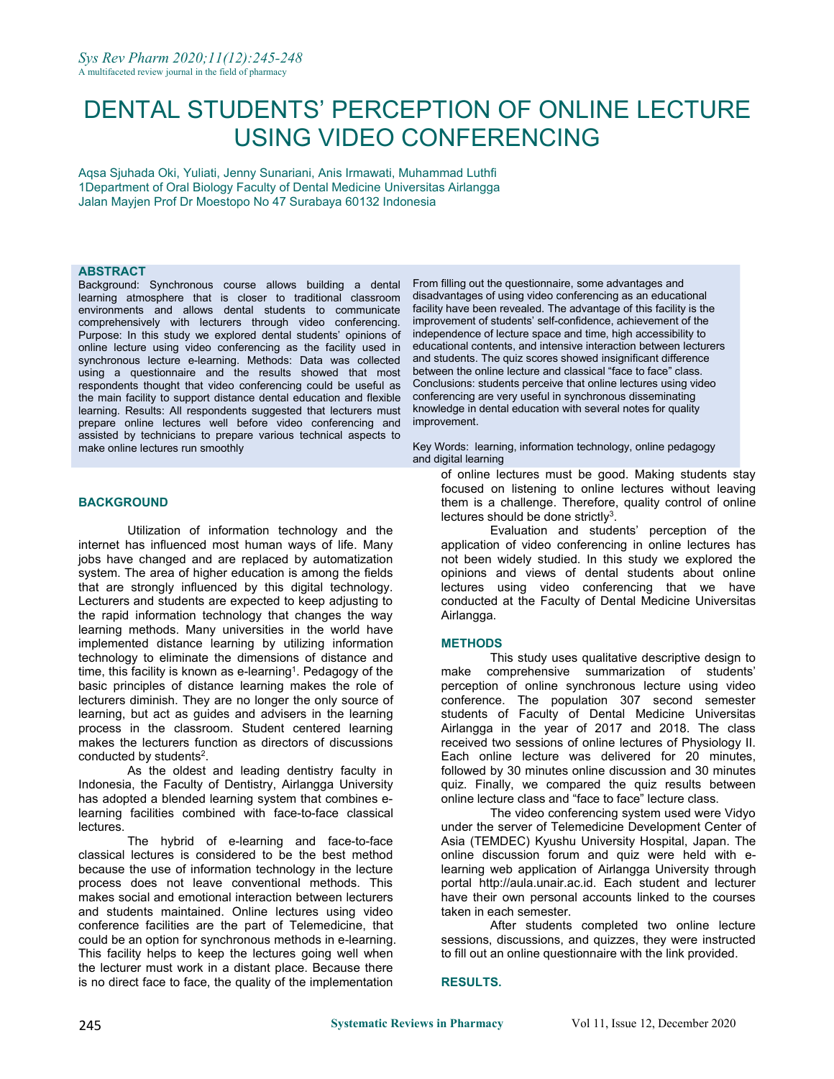# DENTAL STUDENTS' PERCEPTION OF ONLINE LECTURE USING VIDEO CONFERENCING

Aqsa Sjuhada Oki, Yuliati, Jenny Sunariani, Anis Irmawati, Muhammad Luthfi 1Department of Oral Biology Faculty of Dental Medicine Universitas Airlangga Jalan Mayjen Prof Dr Moestopo No 47 Surabaya 60132 Indonesia

# **ABSTRACT**

Background: Synchronous course allows building a dental learning atmosphere that is closer to traditional classroom environments and allows dental students to communicate comprehensively with lecturers through video conferencing. Purpose: In this study we explored dental students' opinions of online lecture using video conferencing as the facility used in synchronous lecture e-learning. Methods: Data was collected using a questionnaire and the results showed that most respondents thought that video conferencing could be useful as the main facility to support distance dental education and flexible learning. Results: All respondents suggested that lecturers must prepare online lectures well before video conferencing and assisted by technicians to prepare various technical aspects to make online lectures run smoothly

#### **BACKGROUND**

Utilization of information technology and the internet has influenced most human ways of life. Many jobs have changed and are replaced by automatization system. The area of higher education is among the fields that are strongly influenced by this digital technology. Lecturers and students are expected to keep adjusting to the rapid information technology that changes the way learning methods. Many universities in the world have implemented distance learning by utilizing information technology to eliminate the dimensions of distance and time, this facility is known as e-learning<sup>1</sup>. Pedagogy of the \_\_\_\_\_\_\_make \_\_compro basic principles of distance learning makes the role of lecturers diminish. They are no longer the only source of learning, but act as guides and advisers in the learning process in the classroom. Student centered learning makes the lecturers function as directors of discussions conducted by students 2 .

As the oldest and leading dentistry faculty in Indonesia, the Faculty of Dentistry, Airlangga University has adopted a blended learning system that combines elearning facilities combined with face-to-face classical lectures.

The hybrid of e-learning and face-to-face classical lectures is considered to be the best method because the use of information technology in the lecture process does not leave conventional methods. This makes social and emotional interaction between lecturers and students maintained. Online lectures using video conference facilities are the part of Telemedicine, that could be an option for synchronous methods in e-learning. This facility helps to keep the lectures going well when the lecturer must work in a distant place. Because there is no direct face to face, the quality of the implementation

From filling out the questionnaire, some advantages and disadvantages of using video conferencing as an educational facility have been revealed. The advantage of this facility is the improvement of students' self-confidence, achievement of the independence of lecture space and time, high accessibility to educational contents, and intensive interaction between lecturers and students. The quiz scores showed insignificant difference between the online lecture and classical "face to face" class. Conclusions: students perceive that online lectures using video conferencing are very useful in synchronous disseminating knowledge in dental education with several notes for quality improvement.

Key Words: learning, information technology, online pedagogy and digital learning

of online lectures must be good. Making students stay focused on listening to online lectures without leaving them is a challenge. Therefore, quality control of online lectures should be done strictly<sup>3</sup>. 3 .

Evaluation and students' perception of the application of video conferencing in online lectures has not been widely studied. In this study we explored the opinions and views of dental students about online lectures using video conferencing that we have conducted at the Faculty of Dental Medicine Universitas Airlangga.

#### **METHODS**

This study uses qualitative descriptive design to make comprehensive summarization of students' perception of online synchronous lecture using video conference. The population 307 second semester students of Faculty of Dental Medicine Universitas Airlangga in the year of 2017 and 2018. The class received two sessions of online lectures of Physiology II. Each online lecture was delivered for 20 minutes, followed by 30 minutes online discussion and 30 minutes quiz. Finally, we compared the quiz results between online lecture class and "face to face" lecture class.

The video conferencing system used were Vidyo under the server of Telemedicine Development Center of Asia (TEMDEC) Kyushu University Hospital, Japan. The online discussion forum and quiz were held with elearning web application of Airlangga University through portal http://aula.unair.ac.id. Each student and lecturer have their own personal accounts linked to the courses taken in each semester.

After students completed two online lecture sessions, discussions, and quizzes, they were instructed to fill out an online questionnaire with the link provided.

#### **RESULTS.**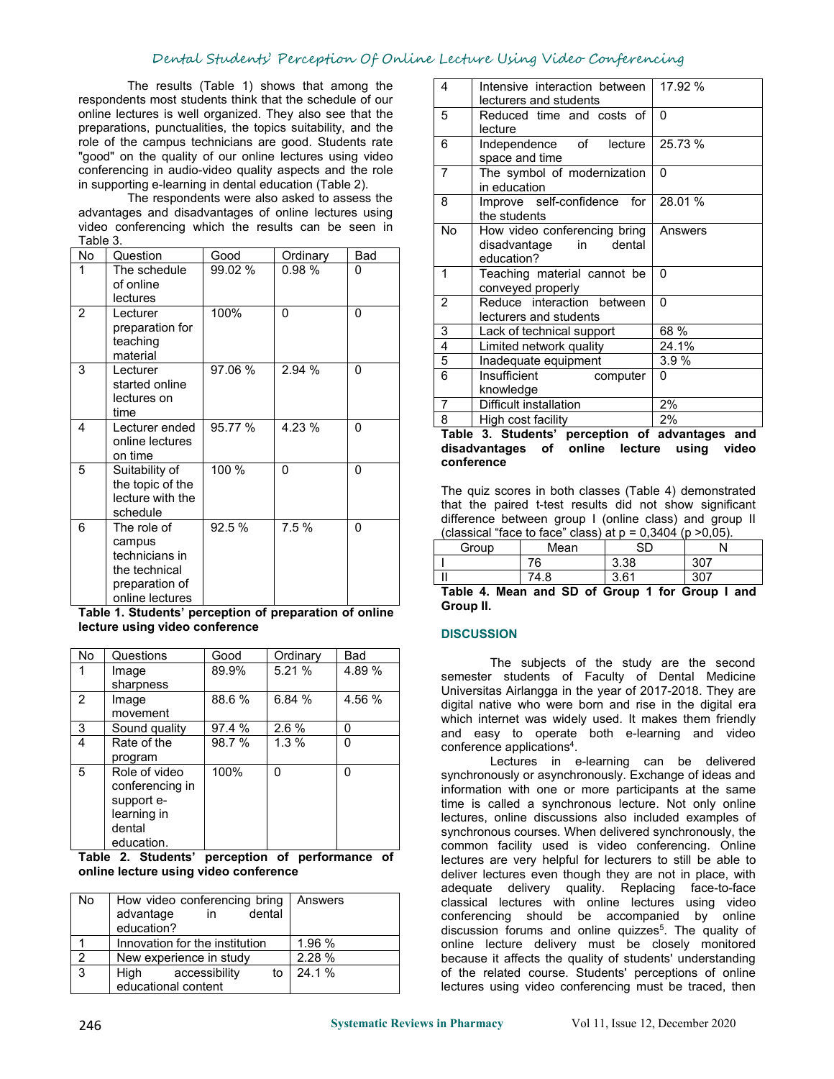# Dental Students' Perception Of Online Lecture Using Video Conferencing

The results (Table 1) shows that among the respondents most students think that the schedule of our online lectures is well organized. They also see that the preparations, punctualities, the topics suitability, and the role of the campus technicians are good. Students rate "good" on the quality of our online lectures using video conferencing in audio-video quality aspects and the role in supporting e-learning in dental education (Table 2).

The respondents were also asked to assess the advantages and disadvantages of online lectures using video conferencing which the results can be seen in Table 3.

| No             | Question                   | Good    | Ordinary     | Bad          |                | educatio                                         |
|----------------|----------------------------|---------|--------------|--------------|----------------|--------------------------------------------------|
|                | The schedule               | 99.02 % | 0.98%        | 0            | $\mathbf{1}$   | Teachino                                         |
|                | of online                  |         |              |              |                | conveyed                                         |
|                | lectures                   |         |              |              | $\overline{2}$ | Reduce                                           |
| $\overline{2}$ | Lecturer                   | 100%    | $\Omega$     | $\Omega$     |                | lecturers                                        |
|                | preparation for            |         |              |              | 3              | Lack of t                                        |
|                | teaching                   |         |              |              | $\overline{4}$ | Limited r                                        |
|                | material                   |         |              |              | 5              | Inadequa                                         |
| 3              | Lecturer<br>started online | 97.06 % | 2.94 %       | $\Omega$     | 6              | Insufficie                                       |
|                | lectures on                |         |              |              |                | knowled                                          |
|                | time                       |         |              |              | $\overline{7}$ | Difficult i                                      |
| 4              | Lecturer ended             | 95.77 % | 4.23 %       | $\Omega$     | 8              | High cos                                         |
|                | online lectures            |         |              |              |                | Table 3. Stud                                    |
|                | on time                    |         |              |              |                | disadvantages                                    |
| 5              | Suitability of             | 100 %   | $\mathbf{0}$ | $\mathbf{0}$ |                | conference                                       |
|                | the topic of the           |         |              |              |                |                                                  |
|                | lecture with the           |         |              |              |                | The quiz scores                                  |
|                | schedule                   |         |              |              |                | that the paired                                  |
| 6              | The role of                | 92.5 %  | 7.5%         | $\mathbf{0}$ |                | difference betw<br>ˈclassical "face <sup>·</sup> |
|                | campus                     |         |              |              |                | Group                                            |
|                | technicians in             |         |              |              |                |                                                  |
|                | the technical              |         |              |              | Ш              |                                                  |
|                | preparation of             |         |              |              |                | Table 4. Mean                                    |
|                | online lectures            |         |              |              |                | Groun II                                         |

**Table 1. Students' perception of preparation of online lecture using video conference**

| No | Questions       | Good   | Ordinary | Bad    |
|----|-----------------|--------|----------|--------|
|    | Image           | 89.9%  | 5.21%    | 4.89 % |
|    | sharpness       |        |          |        |
| 2  | Image           | 88.6 % | 6.84 %   | 4.56 % |
|    | movement        |        |          |        |
| 3  | Sound quality   | 97.4 % | $2.6\%$  |        |
| 4  | Rate of the     | 98.7 % | $1.3\%$  |        |
|    | program         |        |          |        |
| 5. | Role of video   | 100%   |          |        |
|    | conferencing in |        |          |        |
|    | support e-      |        |          |        |
|    | learning in     |        |          |        |
|    | dental          |        |          |        |
|    | education.      |        |          |        |

**Table 2. Students' perception of performance of online lecture using video conference**

| <b>No</b> | How video conferencing bring   Answers<br>dental<br>advantage<br>in |           | auculate uclively quality. INcludeling lace-to-lace<br>classical lectures with online lectures using video<br>conferencing should be accompanied by online |
|-----------|---------------------------------------------------------------------|-----------|------------------------------------------------------------------------------------------------------------------------------------------------------------|
|           | education?                                                          |           | discussion forums and online quizzes <sup>5</sup> . The quality of                                                                                         |
|           | Innovation for the institution                                      | 1.96 %    | online lecture delivery must be closely monitored                                                                                                          |
|           | New experience in study                                             | 2.28%     | because it affects the quality of students' understanding                                                                                                  |
|           | Hiah<br>accessibility                                               | to 24.1 % | of the related course. Students' perceptions of online                                                                                                     |
|           | educational content                                                 |           | lectures using video conferencing must be traced, then                                                                                                     |

| 4              | Intensive interaction between<br>lecturers and students                       | 17.92 %  |  |
|----------------|-------------------------------------------------------------------------------|----------|--|
| 5              | Reduced time and costs of<br>lecture                                          | $\Omega$ |  |
| 6              | Independence of<br>lecture<br>space and time                                  | 25.73 %  |  |
| $\overline{7}$ | The symbol of modernization<br>in education                                   | $\Omega$ |  |
| 8              | Improve self-confidence for<br>the students                                   | 28.01 %  |  |
| <b>No</b>      | How video conferencing bring<br>disadvantage<br>dental<br>in in<br>education? | Answers  |  |
| 1              | Teaching material cannot be<br>conveyed properly                              | $\Omega$ |  |
| 2              | Reduce interaction between<br>lecturers and students                          | $\Omega$ |  |
| 3              | Lack of technical support                                                     | 68 %     |  |
| 4              | Limited network quality                                                       | 24.1%    |  |
| 5              | Inadequate equipment                                                          | 3.9%     |  |
| 6              | Insufficient<br>computer<br>knowledge                                         | $\Omega$ |  |
| $\overline{7}$ | Difficult installation                                                        | 2%       |  |
| 8              | High cost facility                                                            | 2%       |  |
|                |                                                                               |          |  |

95.77 % 4.23 % 0 **Table 3. Students' perception of advantages and disadvantages of online lecture using video conference**

92.5 %  $\begin{array}{|l|l|} \hline \end{array}$  7.5 %  $\begin{array}{|l|l|} \hline \end{array}$  0 (classical "face to face" class) at p = 0,3404 (p > 0,05). The quiz scores in both classes (Table 4) demonstrated that the paired t-test results did not show significant difference between group I (online class) and group II

| Group                                                                                                                                                                                                                                                                                                                                            | Mean | $\sim$ | N           |  |  |
|--------------------------------------------------------------------------------------------------------------------------------------------------------------------------------------------------------------------------------------------------------------------------------------------------------------------------------------------------|------|--------|-------------|--|--|
|                                                                                                                                                                                                                                                                                                                                                  | 70   | 3.38   | 22<br>ו טע  |  |  |
| $\blacksquare$<br>ш                                                                                                                                                                                                                                                                                                                              | 4.O  | 261    | 307<br>ו טט |  |  |
| - - -<br>$\overline{a}$ and $\overline{a}$ are $\overline{a}$ and $\overline{a}$ and $\overline{a}$ are $\overline{a}$ and $\overline{a}$ and $\overline{a}$ are $\overline{a}$ and $\overline{a}$ and $\overline{a}$ and $\overline{a}$ and $\overline{a}$ and $\overline{a}$ and $\overline{a}$ and $\overline{a}$ and $\overline{a}$ and<br>. |      |        |             |  |  |

**Table 4. Mean and SD of Group 1for Group I and Group II.**

# **DISCUSSION**

100% 0 0 synchronously or asynchronously. Exchange of ideas and Answers classical lectures with online lectures using video 24.1 % of the related course. Students' perceptions of online Lectures in e-learning can be delivered information with one or more participants at the same time is called a synchronous lecture. Not only online lectures, online discussions also included examples of synchronous courses. When delivered synchronously, the common facility used is video conferencing. Online lectures are very helpful for lecturers to still be able to deliver lectures even though they are not in place, with adequate delivery quality. Replacing face-to-face conferencing should be accompanied by online discussion forums and online quizzes 5 . The quality of lectures using video conferencing must be traced, then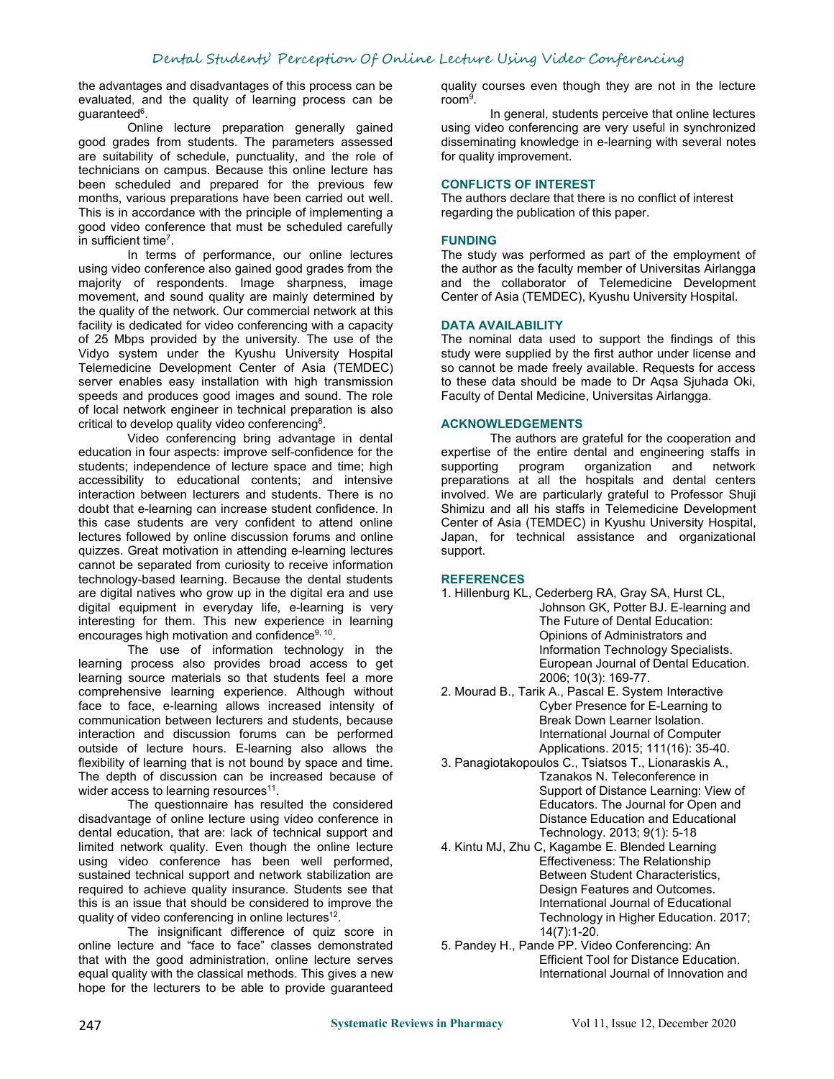the advantages and disadvantages of this process can be evaluated, and the quality of learning process can be guaranteed<sup>6</sup>. 6 .

Online lecture preparation generally gained good grades from students. The parameters assessed are suitability of schedule, punctuality, and the role of technicians on campus. Because this online lecture has been scheduled and prepared for the previous few months, various preparations have been carried out well. This is in accordance with the principle of implementing a good video conference that must be scheduled carefully in sufficient time<sup>7</sup>. .

In terms of performance, our online lectures using video conference also gained good grades from the majority of respondents. Image sharpness, image movement, and sound quality are mainly determined by the quality of the network. Our commercial network at this facility is dedicated for video conferencing with a capacity of 25 Mbps provided by the university. The use of the Vidyo system under the Kyushu University Hospital Telemedicine Development Center of Asia (TEMDEC) server enables easy installation with high transmission speeds and produces good images and sound. The role of local network engineer in technical preparation is also critical to develop quality video conferencing<sup>8</sup>. 8 .

Video conferencing bring advantage in dental education in four aspects: improve self-confidence for the students; independence of lecture space and time; high accessibility to educational contents; and intensive interaction between lecturers and students. There is no doubt that e-learning can increase student confidence. In this case students are very confident to attend online lectures followed by online discussion forums and online quizzes. Great motivation in attending e-learning lectures cannot be separated from curiosity to receive information technology-based learning. Because the dental students are digital natives who grow up in the digital era and use digital equipment in everyday life, e-learning is very interesting for them. This new experience in learning encourages high motivation and confidence 9, 10 .

The use of information technology in the learning process also provides broad access to get learning source materials so that students feel a more comprehensive learning experience. Although without face to face, e-learning allows increased intensity of communication between lecturers and students, because interaction and discussion forums can be performed outside of lecture hours. E-learning also allows the flexibility of learning that is not bound by space and time. The depth of discussion can be increased because of wider access to learning resources $^{\rm 11}.$ .

The questionnaire has resulted the considered disadvantage of online lecture using video conference in dental education, that are: lack of technical support and limited network quality. Even though the online lecture using video conference has been well performed, sustained technical support and network stabilization are required to achieve quality insurance. Students see that this is an issue that should be considered to improve the quality of video conferencing in online lectures 12 .

The insignificant difference of quiz score in online lecture and "face to face" classes demonstrated that with the good administration, online lecture serves equal quality with the classical methods. This gives a new hope for the lecturers to be able to provide guaranteed quality courses even though they are not in the lecture room<sup>9</sup>. .

In general, students perceive that online lectures using video conferencing are very useful in synchronized disseminating knowledge in e-learning with several notes for quality improvement.

## **CONFLICTS OF INTEREST**

The authors declare that there is no conflict of interest regarding the publication of this paper.

# **FUNDING**

The study was performed as part of the employment of the author as the faculty member of Universitas Airlangga and the collaborator of Telemedicine Development Center of Asia (TEMDEC), Kyushu University Hospital.

### **DATA AVAILABILITY**

The nominal data used to support the findings of this study were supplied by the first author under license and so cannot be made freely available. Requests for access to these data should be made to Dr Aqsa Sjuhada Oki, Faculty of Dental Medicine, Universitas Airlangga.

### **ACKNOWLEDGEMENTS**

The authors are grateful for the cooperation and expertise of the entire dental and engineering staffs in organization and network preparations at all the hospitals and dental centers involved. We are particularly grateful to Professor Shuji Shimizu and all his staffs in Telemedicine Development Center of Asia (TEMDEC) in Kyushu University Hospital, Japan, for technical assistance and organizational support.

#### **REFERENCES**

- 1. Hillenburg KL, Cederberg RA, Gray SA, Hurst CL, Johnson GK, Potter BJ. E-learning and The Future of Dental Education: Opinions of Administrators and Information Technology Specialists. European Journal of Dental Education. 2006; 10(3): 169-77.
- 2. Mourad B., Tarik A., Pascal E. System Interactive Cyber Presence for E-Learning to Break Down Learner Isolation. International Journal of Computer Applications. 2015; 111(16): 35-40.
- 3. Panagiotakopoulos C., Tsiatsos T., Lionaraskis A., Tzanakos N. Teleconference in Support of Distance Learning: View of Educators. The Journal for Open and Distance Education and Educational Technology. 2013; 9(1): 5-18
- 4. Kintu MJ, Zhu C, Kagambe E. Blended Learning Effectiveness: The Relationship Between Student Characteristics, Design Features and Outcomes. International Journal of Educational Technology in Higher Education. 2017; 14(7):1-20.
- 5. Pandey H., Pande PP. Video Conferencing: An Efficient Tool for Distance Education. International Journal of Innovation and